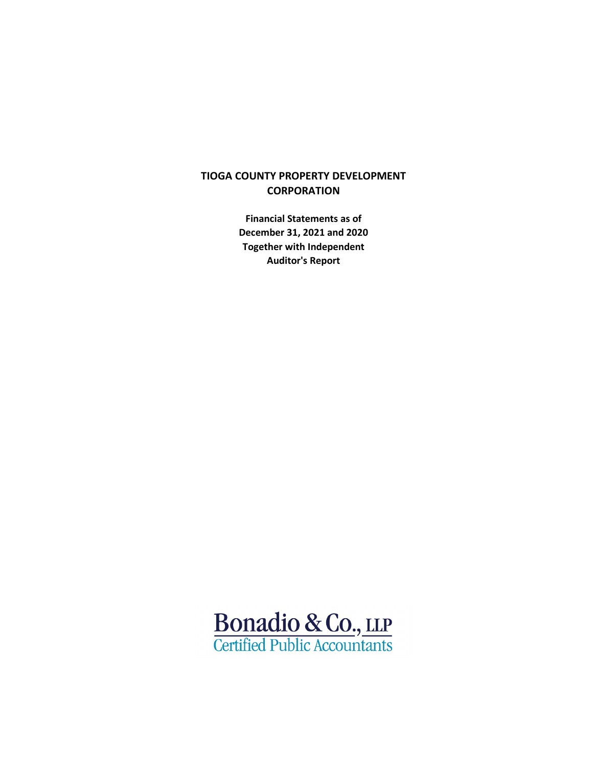**Financial Statements as of December 31, 2021 and 2020 Together with Independent Auditor's Report** 

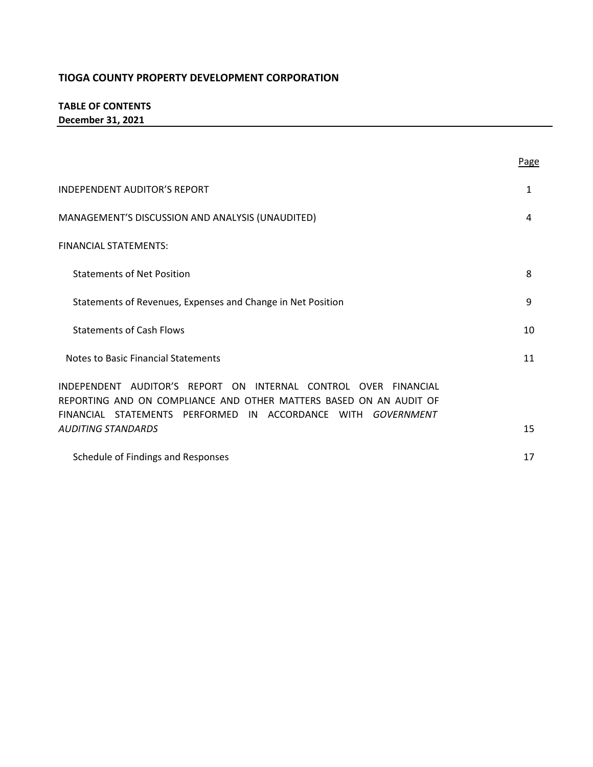# **TABLE OF CONTENTS December 31, 2021**

|                                                                                                                                                                                                                     | Page |
|---------------------------------------------------------------------------------------------------------------------------------------------------------------------------------------------------------------------|------|
| <b>INDEPENDENT AUDITOR'S REPORT</b>                                                                                                                                                                                 | 1    |
| MANAGEMENT'S DISCUSSION AND ANALYSIS (UNAUDITED)                                                                                                                                                                    | 4    |
| <b>FINANCIAL STATEMENTS:</b>                                                                                                                                                                                        |      |
| <b>Statements of Net Position</b>                                                                                                                                                                                   | 8    |
| Statements of Revenues, Expenses and Change in Net Position                                                                                                                                                         | 9    |
| <b>Statements of Cash Flows</b>                                                                                                                                                                                     | 10   |
| <b>Notes to Basic Financial Statements</b>                                                                                                                                                                          | 11   |
| INDEPENDENT AUDITOR'S REPORT ON INTERNAL CONTROL OVER FINANCIAL<br>REPORTING AND ON COMPLIANCE AND OTHER MATTERS BASED ON AN AUDIT OF<br>FINANCIAL STATEMENTS PERFORMED<br>ACCORDANCE<br>WITH<br>- IN<br>GOVERNMENT |      |
| AUDITING STANDARDS                                                                                                                                                                                                  | 15   |
| Schedule of Findings and Responses                                                                                                                                                                                  | 17   |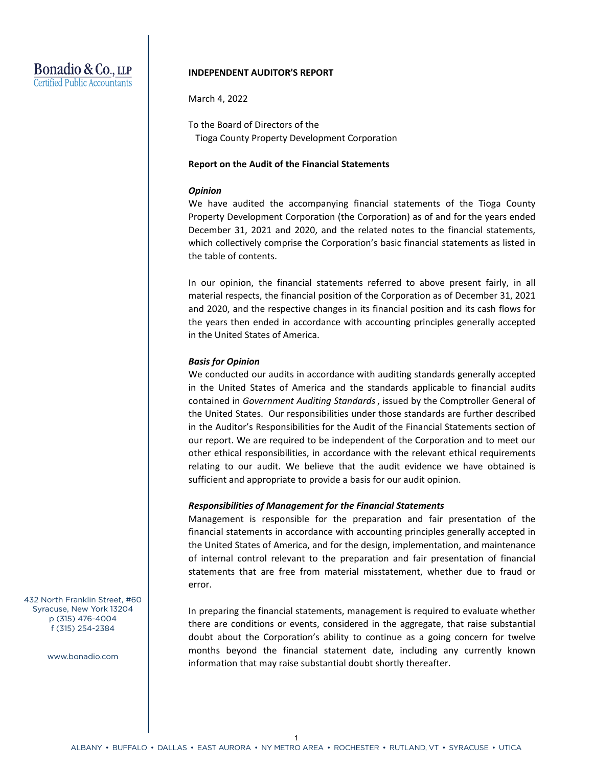# Bonadio & Co., LLP Certified Public Accountants

### **INDEPENDENT AUDITOR'S REPORT**

March 4, 2022

To the Board of Directors of the Tioga County Property Development Corporation

## **Report on the Audit of the Financial Statements**

## *Opinion*

We have audited the accompanying financial statements of the Tioga County Property Development Corporation (the Corporation) as of and for the years ended December 31, 2021 and 2020, and the related notes to the financial statements, which collectively comprise the Corporation's basic financial statements as listed in the table of contents.

In our opinion, the financial statements referred to above present fairly, in all material respects, the financial position of the Corporation as of December 31, 2021 and 2020, and the respective changes in its financial position and its cash flows for the years then ended in accordance with accounting principles generally accepted in the United States of America.

## *Basis for Opinion*

We conducted our audits in accordance with auditing standards generally accepted in the United States of America and the standards applicable to financial audits contained in *Government Auditing Standards*, issued by the Comptroller General of the United States. Our responsibilities under those standards are further described in the Auditor's Responsibilities for the Audit of the Financial Statements section of our report. We are required to be independent of the Corporation and to meet our other ethical responsibilities, in accordance with the relevant ethical requirements relating to our audit. We believe that the audit evidence we have obtained is sufficient and appropriate to provide a basis for our audit opinion.

## *Responsibilities of Management for the Financial Statements*

Management is responsible for the preparation and fair presentation of the financial statements in accordance with accounting principles generally accepted in the United States of America, and for the design, implementation, and maintenance of internal control relevant to the preparation and fair presentation of financial statements that are free from material misstatement, whether due to fraud or error.

In preparing the financial statements, management is required to evaluate whether there are conditions or events, considered in the aggregate, that raise substantial doubt about the Corporation's ability to continue as a going concern for twelve months beyond the financial statement date, including any currently known information that may raise substantial doubt shortly thereafter.

432 North Franklin Street, #60 Syracuse, New York 13204 p (315) 476-4004 f (315) 254-2384

www.bonadio.com

1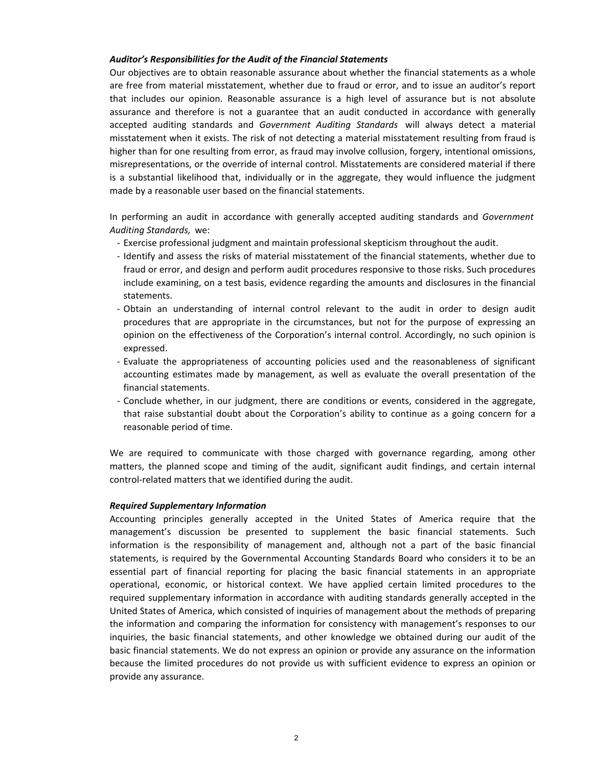## *Auditor's Responsibilities for the Audit of the Financial Statements*

Our objectives are to obtain reasonable assurance about whether the financial statements as a whole are free from material misstatement, whether due to fraud or error, and to issue an auditor's report that includes our opinion. Reasonable assurance is a high level of assurance but is not absolute assurance and therefore is not a guarantee that an audit conducted in accordance with generally accepted auditing standards and *Government Auditing Standards* will always detect a material misstatement when it exists. The risk of not detecting a material misstatement resulting from fraud is higher than for one resulting from error, as fraud may involve collusion, forgery, intentional omissions, misrepresentations, or the override of internal control. Misstatements are considered material if there is a substantial likelihood that, individually or in the aggregate, they would influence the judgment made by a reasonable user based on the financial statements.

In performing an audit in accordance with generally accepted auditing standards and *Government Auditing Standards,* we:

- Exercise professional judgment and maintain professional skepticism throughout the audit.
- Identify and assess the risks of material misstatement of the financial statements, whether due to fraud or error, and design and perform audit procedures responsive to those risks. Such procedures include examining, on a test basis, evidence regarding the amounts and disclosures in the financial statements.
- Obtain an understanding of internal control relevant to the audit in order to design audit procedures that are appropriate in the circumstances, but not for the purpose of expressing an opinion on the effectiveness of the Corporation's internal control. Accordingly, no such opinion is expressed.
- Evaluate the appropriateness of accounting policies used and the reasonableness of significant accounting estimates made by management, as well as evaluate the overall presentation of the financial statements.
- Conclude whether, in our judgment, there are conditions or events, considered in the aggregate, that raise substantial doubt about the Corporation's ability to continue as a going concern for a reasonable period of time.

We are required to communicate with those charged with governance regarding, among other matters, the planned scope and timing of the audit, significant audit findings, and certain internal control-related matters that we identified during the audit.

## *Required Supplementary Information*

Accounting principles generally accepted in the United States of America require that the management's discussion be presented to supplement the basic financial statements. Such information is the responsibility of management and, although not a part of the basic financial statements, is required by the Governmental Accounting Standards Board who considers it to be an essential part of financial reporting for placing the basic financial statements in an appropriate operational, economic, or historical context. We have applied certain limited procedures to the required supplementary information in accordance with auditing standards generally accepted in the United States of America, which consisted of inquiries of management about the methods of preparing the information and comparing the information for consistency with management's responses to our inquiries, the basic financial statements, and other knowledge we obtained during our audit of the basic financial statements. We do not express an opinion or provide any assurance on the information because the limited procedures do not provide us with sufficient evidence to express an opinion or provide any assurance.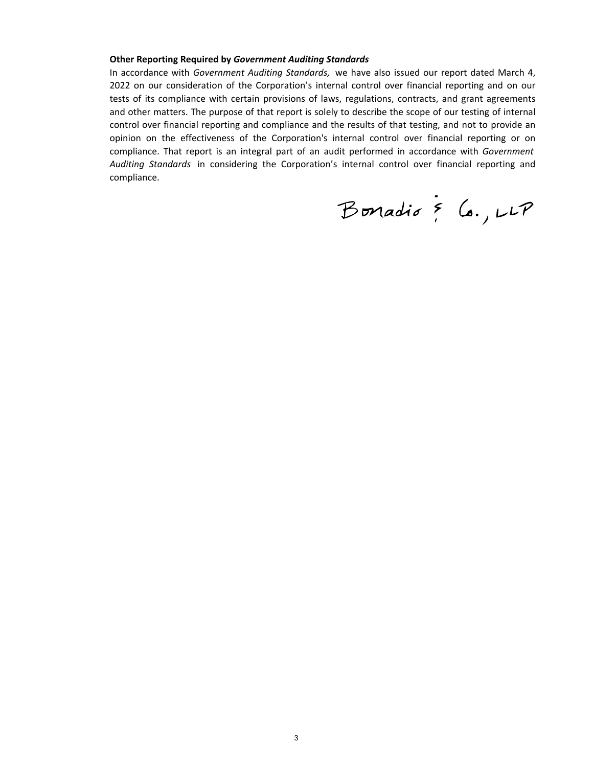#### **Other Reporting Required by** *Government Auditing Standards*

In accordance with *Government Auditing Standards,* we have also issued our report dated March 4, 2022 on our consideration of the Corporation's internal control over financial reporting and on our tests of its compliance with certain provisions of laws, regulations, contracts, and grant agreements and other matters. The purpose of that report is solely to describe the scope of our testing of internal control over financial reporting and compliance and the results of that testing, and not to provide an opinion on the effectiveness of the Corporation's internal control over financial reporting or on compliance. That report is an integral part of an audit performed in accordance with *Government Auditing Standards* in considering the Corporation's internal control over financial reporting and compliance.

Bonadio & Co., LLP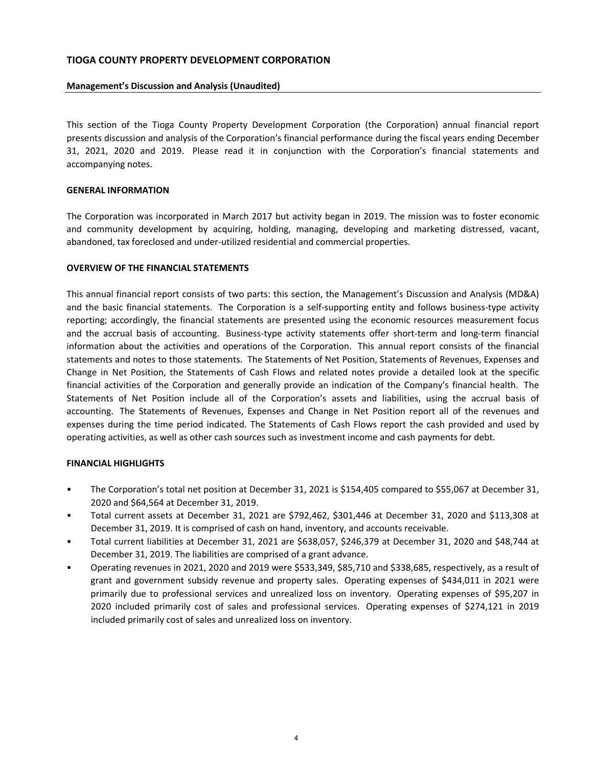## **Management's Discussion and Analysis (Unaudited)**

This section of the Tioga County Property Development Corporation (the Corporation) annual financial report presents discussion and analysis of the Corporation's financial performance during the fiscal years ending December 31, 2021, 2020 and 2019. Please read it in conjunction with the Corporation's financial statements and accompanying notes.

## **GENERAL INFORMATION**

The Corporation was incorporated in March 2017 but activity began in 2019. The mission was to foster economic and community development by acquiring, holding, managing, developing and marketing distressed, vacant, abandoned, tax foreclosed and under-utilized residential and commercial properties.

### **OVERVIEW OF THE FINANCIAL STATEMENTS**

This annual financial report consists of two parts: this section, the Management's Discussion and Analysis (MD&A) and the basic financial statements. The Corporation is a self-supporting entity and follows business-type activity reporting; accordingly, the financial statements are presented using the economic resources measurement focus and the accrual basis of accounting. Business-type activity statements offer short-term and long-term financial information about the activities and operations of the Corporation. This annual report consists of the financial statements and notes to those statements. The Statements of Net Position, Statements of Revenues, Expenses and Change in Net Position, the Statements of Cash Flows and related notes provide a detailed look at the specific financial activities of the Corporation and generally provide an indication of the Company's financial health. The Statements of Net Position include all of the Corporation's assets and liabilities, using the accrual basis of accounting. The Statements of Revenues, Expenses and Change in Net Position report all of the revenues and expenses during the time period indicated. The Statements of Cash Flows report the cash provided and used by operating activities, as well as other cash sources such as investment income and cash payments for debt.

## **FINANCIAL HIGHLIGHTS**

- The Corporation's total net position at December 31, 2021 is \$154,405 compared to \$55,067 at December 31, 2020 and \$64,564 at December 31, 2019.
- Total current assets at December 31, 2021 are \$792,462, \$301,446 at December 31, 2020 and \$113,308 at December 31, 2019. It is comprised of cash on hand, inventory, and accounts receivable.
- Total current liabilities at December 31, 2021 are \$638,057, \$246,379 at December 31, 2020 and \$48,744 at December 31, 2019. The liabilities are comprised of a grant advance.
- Operating revenues in 2021, 2020 and 2019 were \$533,349, \$85,710 and \$338,685, respectively, as a result of grant and government subsidy revenue and property sales. Operating expenses of \$434,011 in 2021 were primarily due to professional services and unrealized loss on inventory. Operating expenses of \$95,207 in 2020 included primarily cost of sales and professional services. Operating expenses of \$274,121 in 2019 included primarily cost of sales and unrealized loss on inventory.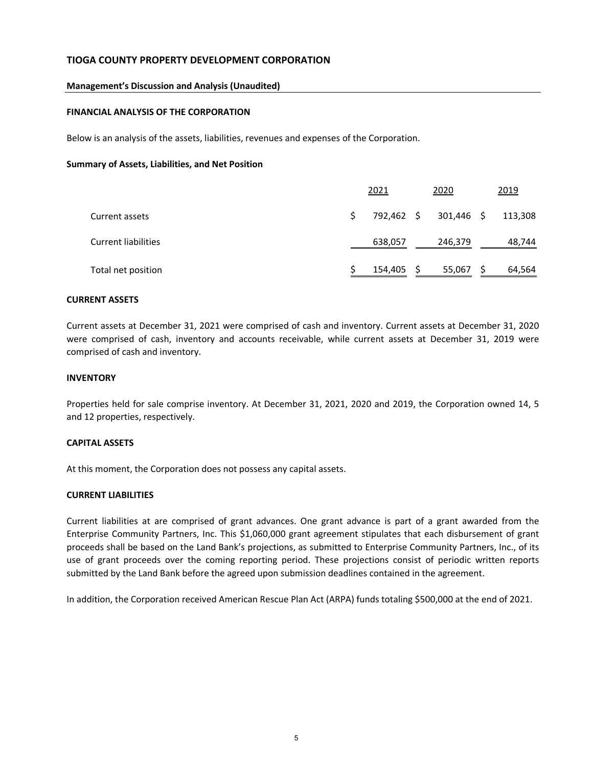# **Management's Discussion and Analysis (Unaudited)**

# **FINANCIAL ANALYSIS OF THE CORPORATION**

Below is an analysis of the assets, liabilities, revenues and expenses of the Corporation.

## **Summary of Assets, Liabilities, and Net Position**

|                            | 2021 |            | 2020 |         | 2019 |                    |
|----------------------------|------|------------|------|---------|------|--------------------|
| Current assets             |      | 792,462 \$ |      |         |      | 301,446 \$ 113,308 |
| <b>Current liabilities</b> |      | 638,057    |      | 246,379 |      | 48,744             |
| Total net position         |      | 154,405    |      | 55,067  |      | 64,564             |

### **CURRENT ASSETS**

Current assets at December 31, 2021 were comprised of cash and inventory. Current assets at December 31, 2020 were comprised of cash, inventory and accounts receivable, while current assets at December 31, 2019 were comprised of cash and inventory.

#### **INVENTORY**

Properties held for sale comprise inventory. At December 31, 2021, 2020 and 2019, the Corporation owned 14, 5 and 12 properties, respectively.

### **CAPITAL ASSETS**

At this moment, the Corporation does not possess any capital assets.

# **CURRENT LIABILITIES**

Current liabilities at are comprised of grant advances. One grant advance is part of a grant awarded from the Enterprise Community Partners, Inc. This \$1,060,000 grant agreement stipulates that each disbursement of grant proceeds shall be based on the Land Bank's projections, as submitted to Enterprise Community Partners, Inc., of its use of grant proceeds over the coming reporting period. These projections consist of periodic written reports submitted by the Land Bank before the agreed upon submission deadlines contained in the agreement.

In addition, the Corporation received American Rescue Plan Act (ARPA) funds totaling \$500,000 at the end of 2021.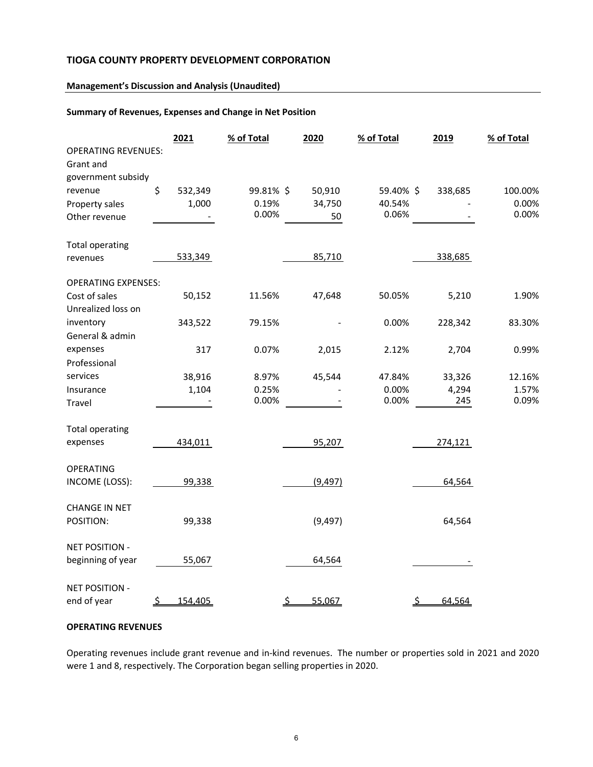# **Management's Discussion and Analysis (Unaudited)**

### **Summary of Revenues, Expenses and Change in Net Position**

|                            | 2021    | % of Total | 2020     | % of Total | 2019    | % of Total |
|----------------------------|---------|------------|----------|------------|---------|------------|
| <b>OPERATING REVENUES:</b> |         |            |          |            |         |            |
| Grant and                  |         |            |          |            |         |            |
| government subsidy         |         |            |          |            |         |            |
| \$<br>revenue              | 532,349 | 99.81%\$   | 50,910   | 59.40%\$   | 338,685 | 100.00%    |
| Property sales             | 1,000   | 0.19%      | 34,750   | 40.54%     |         | 0.00%      |
| Other revenue              |         | 0.00%      | 50       | 0.06%      |         | 0.00%      |
| <b>Total operating</b>     |         |            |          |            |         |            |
| revenues                   | 533,349 |            | 85,710   |            | 338,685 |            |
| <b>OPERATING EXPENSES:</b> |         |            |          |            |         |            |
| Cost of sales              | 50,152  | 11.56%     | 47,648   | 50.05%     | 5,210   | 1.90%      |
| Unrealized loss on         |         |            |          |            |         |            |
| inventory                  | 343,522 | 79.15%     |          | 0.00%      | 228,342 | 83.30%     |
| General & admin            |         |            |          |            |         |            |
| expenses                   | 317     | 0.07%      | 2,015    | 2.12%      | 2,704   | 0.99%      |
| Professional               |         |            |          |            |         |            |
| services                   | 38,916  | 8.97%      | 45,544   | 47.84%     | 33,326  | 12.16%     |
| Insurance                  | 1,104   | 0.25%      |          | 0.00%      | 4,294   | 1.57%      |
| Travel                     |         | 0.00%      |          | 0.00%      | 245     | 0.09%      |
| <b>Total operating</b>     |         |            |          |            |         |            |
| expenses                   | 434,011 |            | 95,207   |            | 274,121 |            |
| <b>OPERATING</b>           |         |            |          |            |         |            |
| INCOME (LOSS):             | 99,338  |            | (9, 497) |            | 64,564  |            |
| <b>CHANGE IN NET</b>       |         |            |          |            |         |            |
| POSITION:                  | 99,338  |            | (9, 497) |            | 64,564  |            |
| <b>NET POSITION -</b>      |         |            |          |            |         |            |
| beginning of year          | 55,067  |            | 64,564   |            |         |            |
| <b>NET POSITION -</b>      |         |            |          |            |         |            |
| end of year                | 154,405 |            | 55,067   |            | 64,564  |            |

### **OPERATING REVENUES**

Operating revenues include grant revenue and in-kind revenues. The number or properties sold in 2021 and 2020 were 1 and 8, respectively. The Corporation began selling properties in 2020.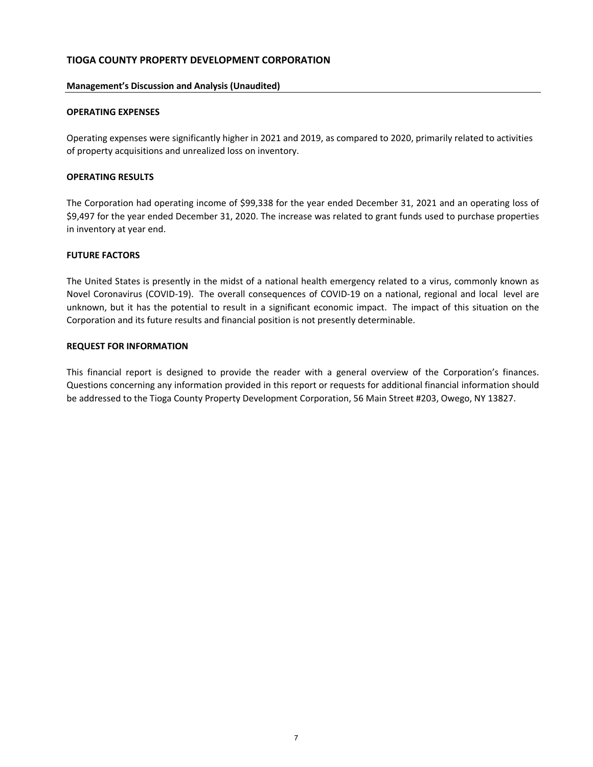# **Management's Discussion and Analysis (Unaudited)**

# **OPERATING EXPENSES**

Operating expenses were significantly higher in 2021 and 2019, as compared to 2020, primarily related to activities of property acquisitions and unrealized loss on inventory.

# **OPERATING RESULTS**

The Corporation had operating income of \$99,338 for the year ended December 31, 2021 and an operating loss of \$9,497 for the year ended December 31, 2020. The increase was related to grant funds used to purchase properties in inventory at year end.

# **FUTURE FACTORS**

The United States is presently in the midst of a national health emergency related to a virus, commonly known as Novel Coronavirus (COVID-19). The overall consequences of COVID-19 on a national, regional and local level are unknown, but it has the potential to result in a significant economic impact. The impact of this situation on the Corporation and its future results and financial position is not presently determinable.

# **REQUEST FOR INFORMATION**

This financial report is designed to provide the reader with a general overview of the Corporation's finances. Questions concerning any information provided in this report or requests for additional financial information should be addressed to the Tioga County Property Development Corporation, 56 Main Street #203, Owego, NY 13827.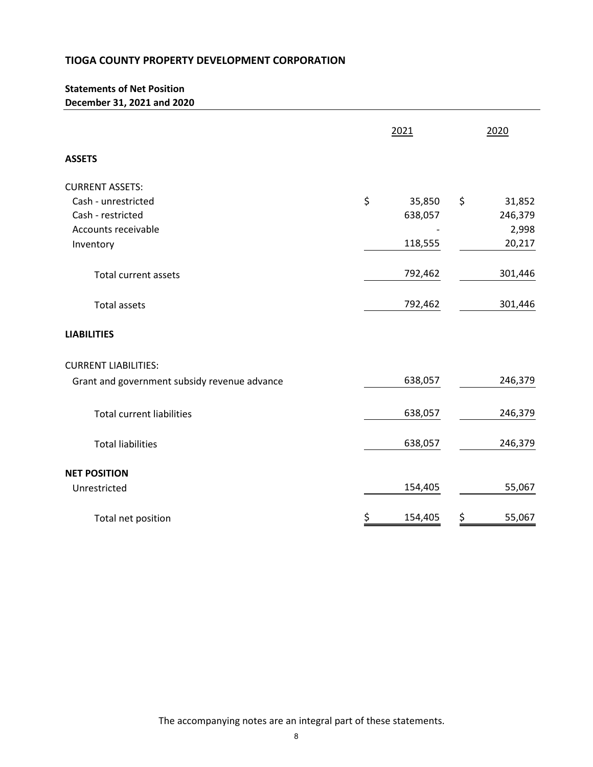# **Statements of Net Position December 31, 2021 and 2020**

|                                              | 2021          | 2020 |         |  |
|----------------------------------------------|---------------|------|---------|--|
| <b>ASSETS</b>                                |               |      |         |  |
| <b>CURRENT ASSETS:</b>                       |               |      |         |  |
| Cash - unrestricted                          | \$<br>35,850  | \$   | 31,852  |  |
| Cash - restricted                            | 638,057       |      | 246,379 |  |
| Accounts receivable                          |               |      | 2,998   |  |
| Inventory                                    | 118,555       |      | 20,217  |  |
| <b>Total current assets</b>                  | 792,462       |      | 301,446 |  |
| <b>Total assets</b>                          | 792,462       |      | 301,446 |  |
| <b>LIABILITIES</b>                           |               |      |         |  |
| <b>CURRENT LIABILITIES:</b>                  |               |      |         |  |
| Grant and government subsidy revenue advance | 638,057       |      | 246,379 |  |
| <b>Total current liabilities</b>             | 638,057       |      | 246,379 |  |
| <b>Total liabilities</b>                     | 638,057       |      | 246,379 |  |
| <b>NET POSITION</b>                          |               |      |         |  |
| Unrestricted                                 | 154,405       |      | 55,067  |  |
| Total net position                           | \$<br>154,405 | \$   | 55,067  |  |

The accompanying notes are an integral part of these statements.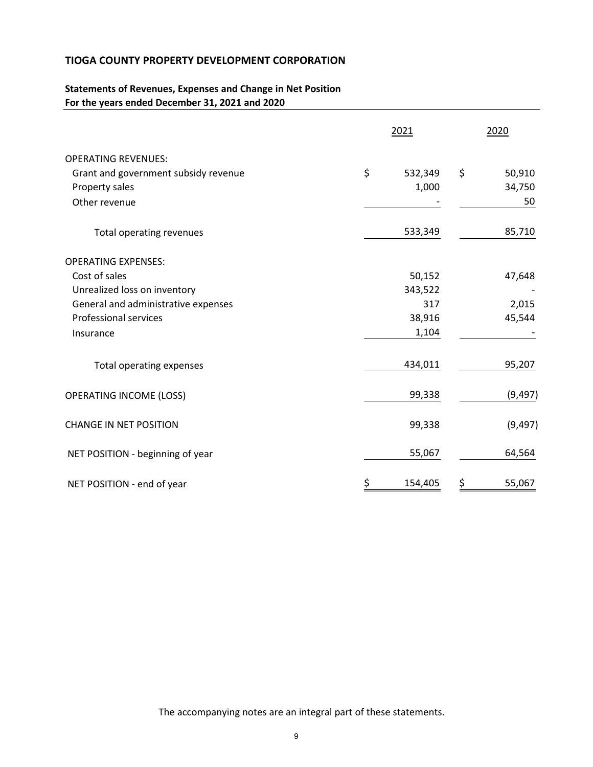# **Statements of Revenues, Expenses and Change in Net Position For the years ended December 31, 2021 and 2020**

|                                      | 2021          |    |          |
|--------------------------------------|---------------|----|----------|
| <b>OPERATING REVENUES:</b>           |               |    |          |
| Grant and government subsidy revenue | \$<br>532,349 | \$ | 50,910   |
| Property sales                       | 1,000         |    | 34,750   |
| Other revenue                        |               |    | 50       |
| Total operating revenues             | 533,349       |    | 85,710   |
| <b>OPERATING EXPENSES:</b>           |               |    |          |
| Cost of sales                        | 50,152        |    | 47,648   |
| Unrealized loss on inventory         | 343,522       |    |          |
| General and administrative expenses  | 317           |    | 2,015    |
| <b>Professional services</b>         | 38,916        |    | 45,544   |
| Insurance                            | 1,104         |    |          |
| Total operating expenses             | 434,011       |    | 95,207   |
| <b>OPERATING INCOME (LOSS)</b>       | 99,338        |    | (9, 497) |
| <b>CHANGE IN NET POSITION</b>        | 99,338        |    | (9, 497) |
| NET POSITION - beginning of year     | 55,067        |    | 64,564   |
| NET POSITION - end of year           | \$<br>154,405 | \$ | 55,067   |

The accompanying notes are an integral part of these statements.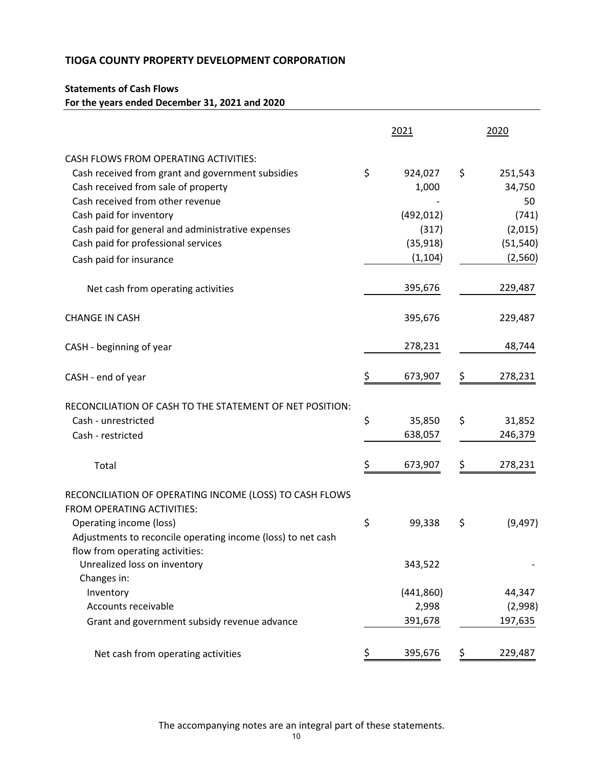# **Statements of Cash Flows**

**For the years ended December 31, 2021 and 2020**

|                                                              |    | 2021       |    | 2020      |
|--------------------------------------------------------------|----|------------|----|-----------|
| CASH FLOWS FROM OPERATING ACTIVITIES:                        |    |            |    |           |
| Cash received from grant and government subsidies            | \$ | 924,027    | \$ | 251,543   |
| Cash received from sale of property                          |    | 1,000      |    | 34,750    |
| Cash received from other revenue                             |    |            |    | 50        |
| Cash paid for inventory                                      |    | (492, 012) |    | (741)     |
| Cash paid for general and administrative expenses            |    | (317)      |    | (2,015)   |
| Cash paid for professional services                          |    | (35, 918)  |    | (51, 540) |
| Cash paid for insurance                                      |    | (1, 104)   |    | (2, 560)  |
| Net cash from operating activities                           |    | 395,676    |    | 229,487   |
| <b>CHANGE IN CASH</b>                                        |    | 395,676    |    | 229,487   |
| CASH - beginning of year                                     |    | 278,231    |    | 48,744    |
| CASH - end of year                                           | \$ | 673,907    | \$ | 278,231   |
| RECONCILIATION OF CASH TO THE STATEMENT OF NET POSITION:     |    |            |    |           |
| Cash - unrestricted                                          | \$ | 35,850     | \$ | 31,852    |
| Cash - restricted                                            |    | 638,057    |    | 246,379   |
| Total                                                        | \$ | 673,907    | \$ | 278,231   |
| RECONCILIATION OF OPERATING INCOME (LOSS) TO CASH FLOWS      |    |            |    |           |
| FROM OPERATING ACTIVITIES:                                   |    |            |    |           |
| Operating income (loss)                                      | \$ | 99,338     | \$ | (9, 497)  |
| Adjustments to reconcile operating income (loss) to net cash |    |            |    |           |
| flow from operating activities:                              |    |            |    |           |
| Unrealized loss on inventory                                 |    | 343,522    |    |           |
| Changes in:                                                  |    |            |    |           |
| Inventory                                                    |    | (441, 860) |    | 44,347    |
| Accounts receivable                                          |    | 2,998      |    | (2,998)   |
| Grant and government subsidy revenue advance                 |    | 391,678    |    | 197,635   |
| Net cash from operating activities                           | Ş  | 395,676    | Ş  | 229,487   |

The accompanying notes are an integral part of these statements.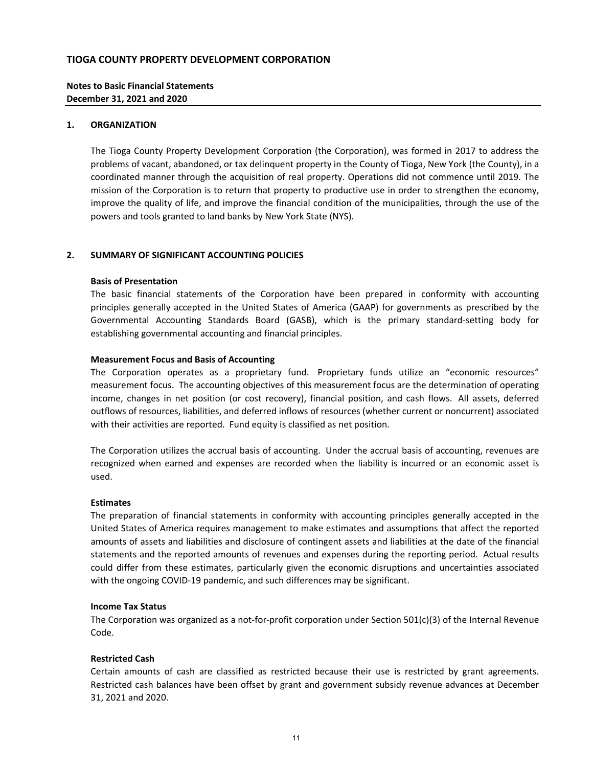**Notes to Basic Financial Statements December 31, 2021 and 2020**

#### **1. ORGANIZATION**

The Tioga County Property Development Corporation (the Corporation), was formed in 2017 to address the problems of vacant, abandoned, or tax delinquent property in the County of Tioga, New York (the County), in a coordinated manner through the acquisition of real property. Operations did not commence until 2019. The mission of the Corporation is to return that property to productive use in order to strengthen the economy, improve the quality of life, and improve the financial condition of the municipalities, through the use of the powers and tools granted to land banks by New York State (NYS).

## **2. SUMMARY OF SIGNIFICANT ACCOUNTING POLICIES**

#### **Basis of Presentation**

The basic financial statements of the Corporation have been prepared in conformity with accounting principles generally accepted in the United States of America (GAAP) for governments as prescribed by the Governmental Accounting Standards Board (GASB), which is the primary standard-setting body for establishing governmental accounting and financial principles.

### **Measurement Focus and Basis of Accounting**

The Corporation operates as a proprietary fund. Proprietary funds utilize an "economic resources" measurement focus. The accounting objectives of this measurement focus are the determination of operating income, changes in net position (or cost recovery), financial position, and cash flows. All assets, deferred outflows of resources, liabilities, and deferred inflows of resources (whether current or noncurrent) associated with their activities are reported. Fund equity is classified as net position.

The Corporation utilizes the accrual basis of accounting. Under the accrual basis of accounting, revenues are recognized when earned and expenses are recorded when the liability is incurred or an economic asset is used.

#### **Estimates**

The preparation of financial statements in conformity with accounting principles generally accepted in the United States of America requires management to make estimates and assumptions that affect the reported amounts of assets and liabilities and disclosure of contingent assets and liabilities at the date of the financial statements and the reported amounts of revenues and expenses during the reporting period. Actual results could differ from these estimates, particularly given the economic disruptions and uncertainties associated with the ongoing COVID-19 pandemic, and such differences may be significant.

#### **Income Tax Status**

The Corporation was organized as a not-for-profit corporation under Section 501(c)(3) of the Internal Revenue Code.

#### **Restricted Cash**

Certain amounts of cash are classified as restricted because their use is restricted by grant agreements. Restricted cash balances have been offset by grant and government subsidy revenue advances at December 31, 2021 and 2020.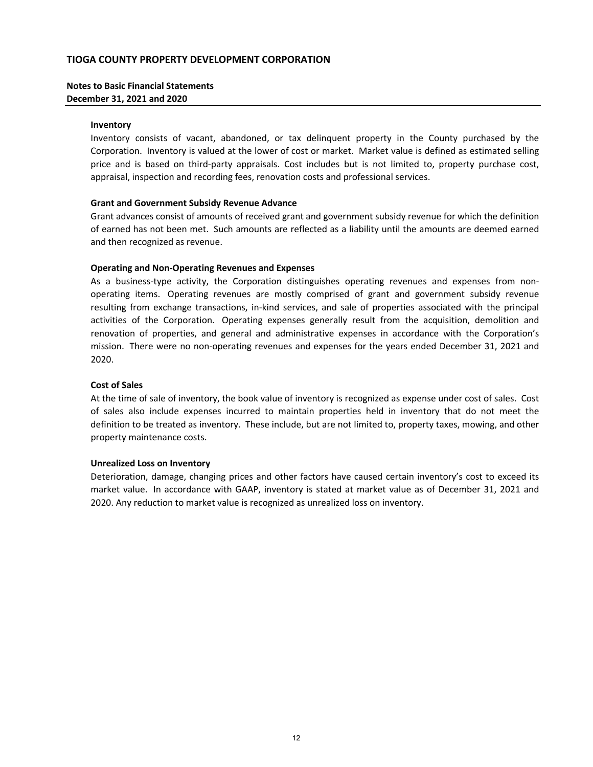## **Notes to Basic Financial Statements December 31, 2021 and 2020**

#### **Inventory**

Inventory consists of vacant, abandoned, or tax delinquent property in the County purchased by the Corporation. Inventory is valued at the lower of cost or market. Market value is defined as estimated selling price and is based on third-party appraisals. Cost includes but is not limited to, property purchase cost, appraisal, inspection and recording fees, renovation costs and professional services.

### **Grant and Government Subsidy Revenue Advance**

Grant advances consist of amounts of received grant and government subsidy revenue for which the definition of earned has not been met. Such amounts are reflected as a liability until the amounts are deemed earned and then recognized as revenue.

### **Operating and Non-Operating Revenues and Expenses**

As a business-type activity, the Corporation distinguishes operating revenues and expenses from nonoperating items. Operating revenues are mostly comprised of grant and government subsidy revenue resulting from exchange transactions, in-kind services, and sale of properties associated with the principal activities of the Corporation. Operating expenses generally result from the acquisition, demolition and renovation of properties, and general and administrative expenses in accordance with the Corporation's mission. There were no non-operating revenues and expenses for the years ended December 31, 2021 and 2020.

## **Cost of Sales**

At the time of sale of inventory, the book value of inventory is recognized as expense under cost of sales. Cost of sales also include expenses incurred to maintain properties held in inventory that do not meet the definition to be treated as inventory. These include, but are not limited to, property taxes, mowing, and other property maintenance costs.

#### **Unrealized Loss on Inventory**

Deterioration, damage, changing prices and other factors have caused certain inventory's cost to exceed its market value. In accordance with GAAP, inventory is stated at market value as of December 31, 2021 and 2020. Any reduction to market value is recognized as unrealized loss on inventory.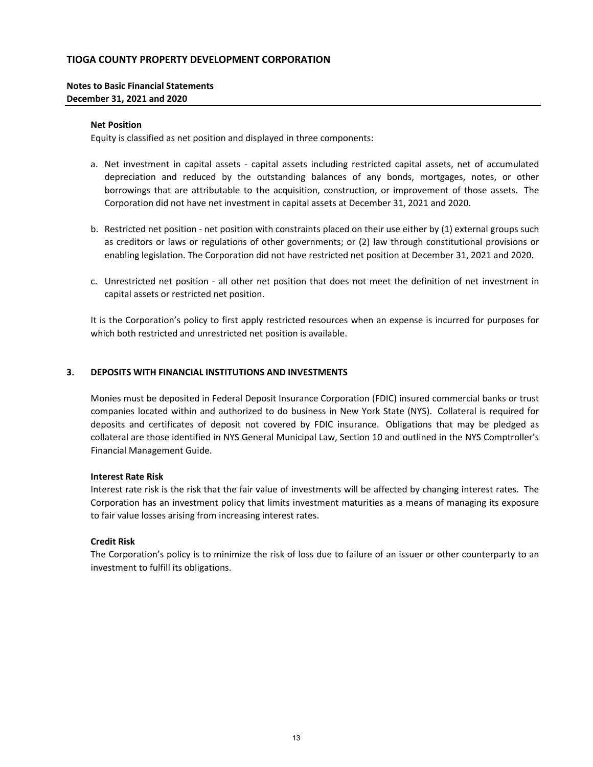## **Notes to Basic Financial Statements December 31, 2021 and 2020**

#### **Net Position**

Equity is classified as net position and displayed in three components:

- a. Net investment in capital assets capital assets including restricted capital assets, net of accumulated depreciation and reduced by the outstanding balances of any bonds, mortgages, notes, or other borrowings that are attributable to the acquisition, construction, or improvement of those assets. The Corporation did not have net investment in capital assets at December 31, 2021 and 2020.
- b. Restricted net position net position with constraints placed on their use either by (1) external groups such as creditors or laws or regulations of other governments; or (2) law through constitutional provisions or enabling legislation. The Corporation did not have restricted net position at December 31, 2021 and 2020.
- c. Unrestricted net position all other net position that does not meet the definition of net investment in capital assets or restricted net position.

It is the Corporation's policy to first apply restricted resources when an expense is incurred for purposes for which both restricted and unrestricted net position is available.

## **3. DEPOSITS WITH FINANCIAL INSTITUTIONS AND INVESTMENTS**

Monies must be deposited in Federal Deposit Insurance Corporation (FDIC) insured commercial banks or trust companies located within and authorized to do business in New York State (NYS). Collateral is required for deposits and certificates of deposit not covered by FDIC insurance. Obligations that may be pledged as collateral are those identified in NYS General Municipal Law, Section 10 and outlined in the NYS Comptroller's Financial Management Guide.

#### **Interest Rate Risk**

Interest rate risk is the risk that the fair value of investments will be affected by changing interest rates. The Corporation has an investment policy that limits investment maturities as a means of managing its exposure to fair value losses arising from increasing interest rates.

## **Credit Risk**

The Corporation's policy is to minimize the risk of loss due to failure of an issuer or other counterparty to an investment to fulfill its obligations.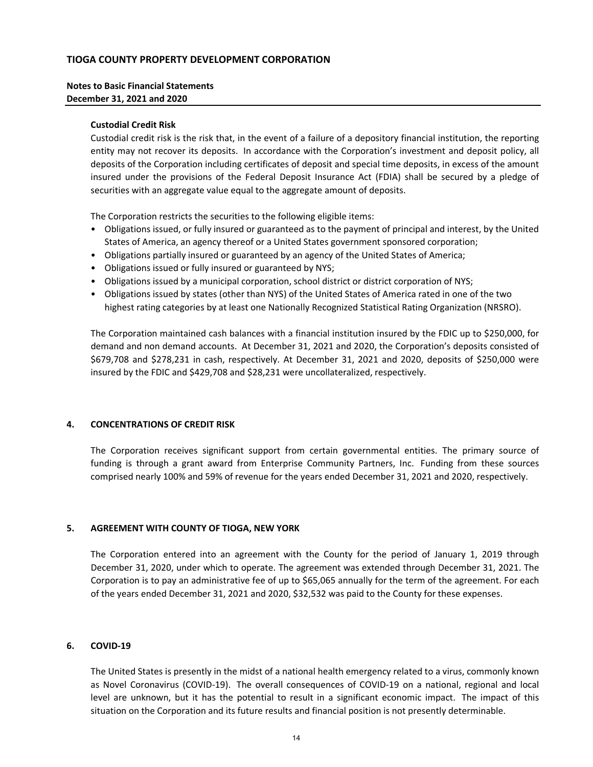# **Notes to Basic Financial Statements December 31, 2021 and 2020**

#### **Custodial Credit Risk**

Custodial credit risk is the risk that, in the event of a failure of a depository financial institution, the reporting entity may not recover its deposits. In accordance with the Corporation's investment and deposit policy, all deposits of the Corporation including certificates of deposit and special time deposits, in excess of the amount insured under the provisions of the Federal Deposit Insurance Act (FDIA) shall be secured by a pledge of securities with an aggregate value equal to the aggregate amount of deposits.

The Corporation restricts the securities to the following eligible items:

- Obligations issued, or fully insured or guaranteed as to the payment of principal and interest, by the United States of America, an agency thereof or a United States government sponsored corporation;
- Obligations partially insured or guaranteed by an agency of the United States of America;
- Obligations issued or fully insured or guaranteed by NYS;
- Obligations issued by a municipal corporation, school district or district corporation of NYS;
- Obligations issued by states (other than NYS) of the United States of America rated in one of the two highest rating categories by at least one Nationally Recognized Statistical Rating Organization (NRSRO).

The Corporation maintained cash balances with a financial institution insured by the FDIC up to \$250,000, for demand and non demand accounts. At December 31, 2021 and 2020, the Corporation's deposits consisted of \$679,708 and \$278,231 in cash, respectively. At December 31, 2021 and 2020, deposits of \$250,000 were insured by the FDIC and \$429,708 and \$28,231 were uncollateralized, respectively.

## **4. CONCENTRATIONS OF CREDIT RISK**

The Corporation receives significant support from certain governmental entities. The primary source of funding is through a grant award from Enterprise Community Partners, Inc. Funding from these sources comprised nearly 100% and 59% of revenue for the years ended December 31, 2021 and 2020, respectively.

## **5. AGREEMENT WITH COUNTY OF TIOGA, NEW YORK**

The Corporation entered into an agreement with the County for the period of January 1, 2019 through December 31, 2020, under which to operate. The agreement was extended through December 31, 2021. The Corporation is to pay an administrative fee of up to \$65,065 annually for the term of the agreement. For each of the years ended December 31, 2021 and 2020, \$32,532 was paid to the County for these expenses.

## **6. COVID-19**

The United States is presently in the midst of a national health emergency related to a virus, commonly known as Novel Coronavirus (COVID-19). The overall consequences of COVID-19 on a national, regional and local level are unknown, but it has the potential to result in a significant economic impact. The impact of this situation on the Corporation and its future results and financial position is not presently determinable.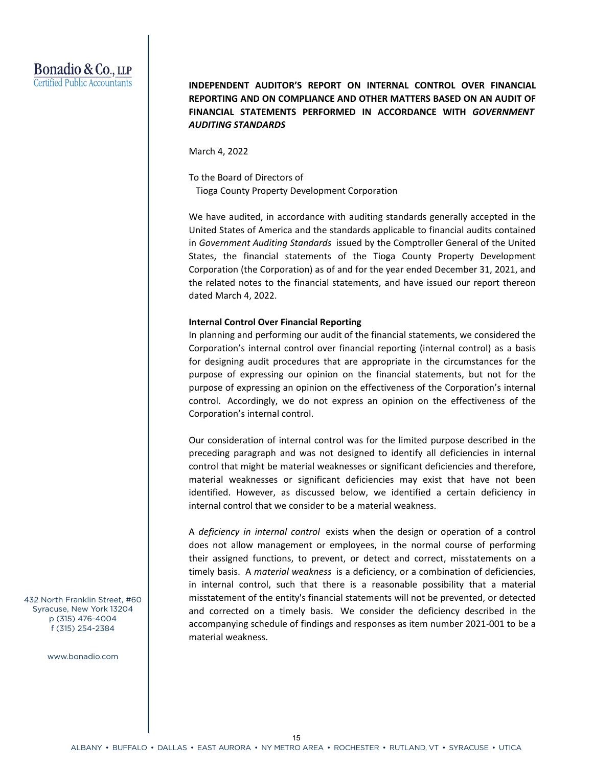# Bonadio & Co., LLP **Certified Public Accountants**

**INDEPENDENT AUDITOR'S REPORT ON INTERNAL CONTROL OVER FINANCIAL REPORTING AND ON COMPLIANCE AND OTHER MATTERS BASED ON AN AUDIT OF FINANCIAL STATEMENTS PERFORMED IN ACCORDANCE WITH** *GOVERNMENT AUDITING STANDARDS*

March 4, 2022

To the Board of Directors of Tioga County Property Development Corporation

We have audited, in accordance with auditing standards generally accepted in the United States of America and the standards applicable to financial audits contained in *Government Auditing Standards* issued by the Comptroller General of the United States, the financial statements of the Tioga County Property Development Corporation (the Corporation) as of and for the year ended December 31, 2021, and the related notes to the financial statements, and have issued our report thereon dated March 4, 2022.

#### **Internal Control Over Financial Reporting**

In planning and performing our audit of the financial statements, we considered the Corporation's internal control over financial reporting (internal control) as a basis for designing audit procedures that are appropriate in the circumstances for the purpose of expressing our opinion on the financial statements, but not for the purpose of expressing an opinion on the effectiveness of the Corporation's internal control. Accordingly, we do not express an opinion on the effectiveness of the Corporation's internal control.

Our consideration of internal control was for the limited purpose described in the preceding paragraph and was not designed to identify all deficiencies in internal control that might be material weaknesses or significant deficiencies and therefore, material weaknesses or significant deficiencies may exist that have not been identified. However, as discussed below, we identified a certain deficiency in internal control that we consider to be a material weakness.

A *deficiency in internal control* exists when the design or operation of a control does not allow management or employees, in the normal course of performing their assigned functions, to prevent, or detect and correct, misstatements on a timely basis. A *material weakness* is a deficiency, or a combination of deficiencies, in internal control, such that there is a reasonable possibility that a material misstatement of the entity's financial statements will not be prevented, or detected and corrected on a timely basis. We consider the deficiency described in the accompanying schedule of findings and responses as item number 2021-001 to be a material weakness.

432 North Franklin Street, #60 Syracuse, New York 13204 p (315) 476-4004 f (315) 254-2384

www.bonadio.com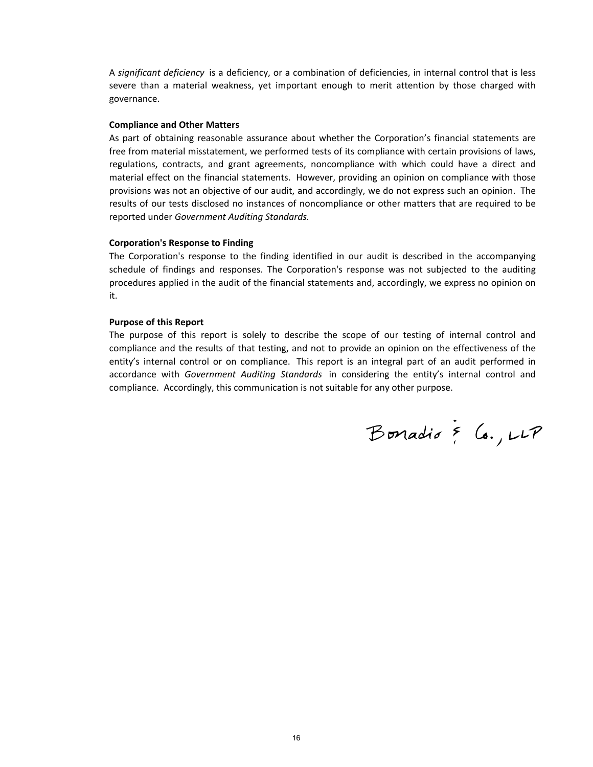A *significant deficiency* is a deficiency, or a combination of deficiencies, in internal control that is less severe than a material weakness, yet important enough to merit attention by those charged with governance.

#### **Compliance and Other Matters**

As part of obtaining reasonable assurance about whether the Corporation's financial statements are free from material misstatement, we performed tests of its compliance with certain provisions of laws, regulations, contracts, and grant agreements, noncompliance with which could have a direct and material effect on the financial statements. However, providing an opinion on compliance with those provisions was not an objective of our audit, and accordingly, we do not express such an opinion. The results of our tests disclosed no instances of noncompliance or other matters that are required to be reported under *Government Auditing Standards.*

### **Corporation's Response to Finding**

The Corporation's response to the finding identified in our audit is described in the accompanying schedule of findings and responses. The Corporation's response was not subjected to the auditing procedures applied in the audit of the financial statements and, accordingly, we express no opinion on it.

### **Purpose of this Report**

The purpose of this report is solely to describe the scope of our testing of internal control and compliance and the results of that testing, and not to provide an opinion on the effectiveness of the entity's internal control or on compliance. This report is an integral part of an audit performed in accordance with *Government Auditing Standards* in considering the entity's internal control and compliance. Accordingly, this communication is not suitable for any other purpose.

Bonadio & Co., LLP